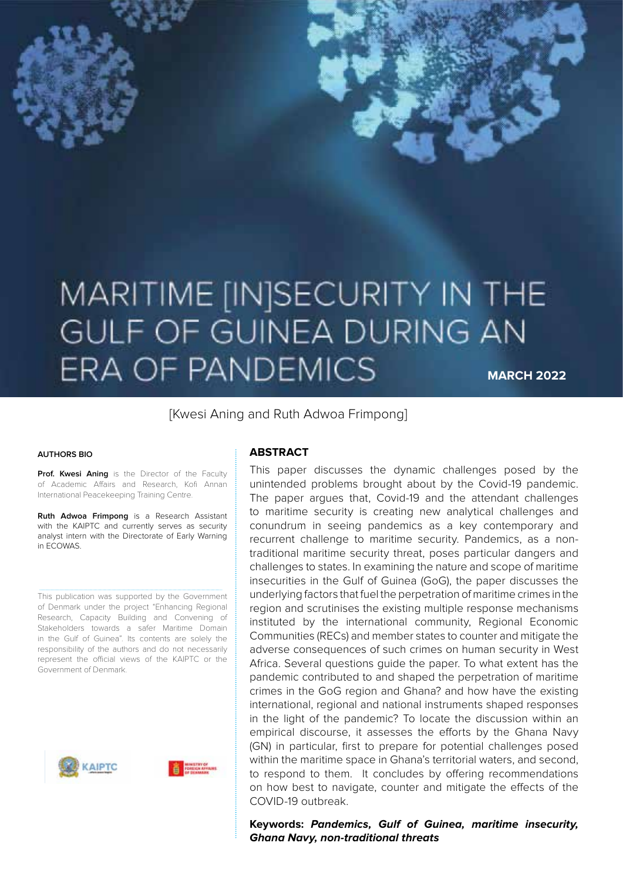# MARITIME [IN]SECURITY IN THE GULF OF GUINEA DURING AN **ERA OF PANDEMICS MARCH 2022**

[Kwesi Aning and Ruth Adwoa Frimpong]

#### **AUTHORS BIO**

Prof. Kwesi Aning is the Director of the Faculty of Academic Affairs and Research, Kofi Annan International Peacekeeping Training Centre.

**Ruth Adwoa Frimpong** is a Research Assistant with the KAIPTC and currently serves as security analyst intern with the Directorate of Early Warning in ECOWAS.

This publication was supported by the Government of Denmark under the project "Enhancing Regional Research, Capacity Building and Convening of Stakeholders towards a safer Maritime Domain in the Gulf of Guinea". Its contents are solely the responsibility of the authors and do not necessarily represent the official views of the KAIPTC or the Government of Denmark.





#### **ABSTRACT**

This paper discusses the dynamic challenges posed by the unintended problems brought about by the Covid-19 pandemic. The paper argues that, Covid-19 and the attendant challenges to maritime security is creating new analytical challenges and conundrum in seeing pandemics as a key contemporary and recurrent challenge to maritime security. Pandemics, as a nontraditional maritime security threat, poses particular dangers and challenges to states. In examining the nature and scope of maritime insecurities in the Gulf of Guinea (GoG), the paper discusses the underlying factors that fuel the perpetration of maritime crimes in the region and scrutinises the existing multiple response mechanisms instituted by the international community, Regional Economic Communities (RECs) and member states to counter and mitigate the adverse consequences of such crimes on human security in West Africa. Several questions guide the paper. To what extent has the pandemic contributed to and shaped the perpetration of maritime crimes in the GoG region and Ghana? and how have the existing international, regional and national instruments shaped responses in the light of the pandemic? To locate the discussion within an empirical discourse, it assesses the efforts by the Ghana Navy (GN) in particular, first to prepare for potential challenges posed within the maritime space in Ghana's territorial waters, and second, to respond to them. It concludes by offering recommendations on how best to navigate, counter and mitigate the effects of the COVID-19 outbreak.

#### **Keywords: Pandemics, Gulf of Guinea, maritime insecurity, Ghana Navy, non-traditional threats**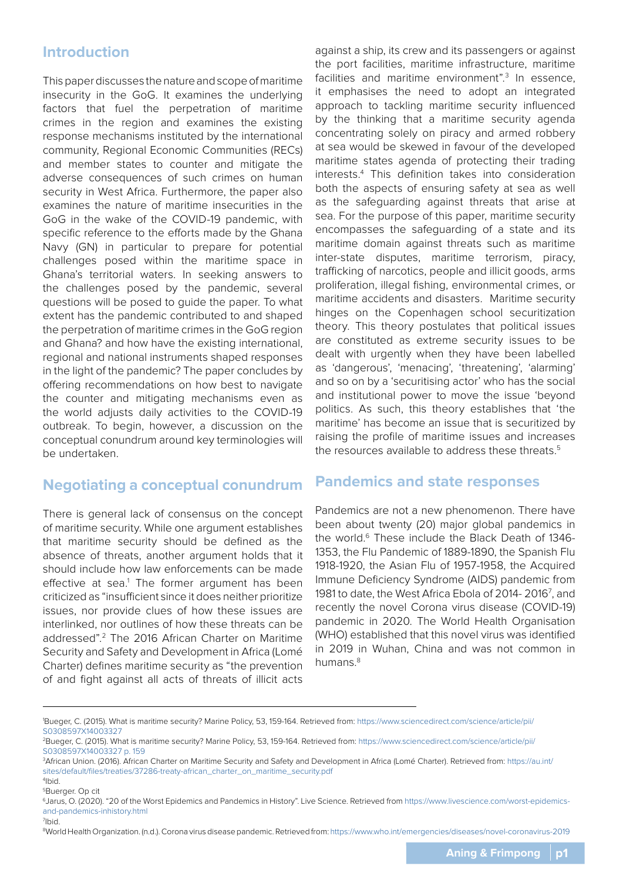### **Introduction**

This paper discusses the nature and scope of maritime insecurity in the GoG. It examines the underlying factors that fuel the perpetration of maritime crimes in the region and examines the existing response mechanisms instituted by the international community, Regional Economic Communities (RECs) and member states to counter and mitigate the adverse consequences of such crimes on human security in West Africa. Furthermore, the paper also examines the nature of maritime insecurities in the GoG in the wake of the COVID-19 pandemic, with specific reference to the efforts made by the Ghana Navy (GN) in particular to prepare for potential challenges posed within the maritime space in Ghana's territorial waters. In seeking answers to the challenges posed by the pandemic, several questions will be posed to guide the paper. To what extent has the pandemic contributed to and shaped the perpetration of maritime crimes in the GoG region and Ghana? and how have the existing international, regional and national instruments shaped responses in the light of the pandemic? The paper concludes by offering recommendations on how best to navigate the counter and mitigating mechanisms even as the world adjusts daily activities to the COVID-19 outbreak. To begin, however, a discussion on the conceptual conundrum around key terminologies will be undertaken.

# **Negotiating a conceptual conundrum**

There is general lack of consensus on the concept of maritime security. While one argument establishes that maritime security should be defined as the absence of threats, another argument holds that it should include how law enforcements can be made effective at sea.<sup>1</sup> The former argument has been criticized as "insufficient since it does neither prioritize issues, nor provide clues of how these issues are interlinked, nor outlines of how these threats can be addressed".2 The 2016 African Charter on Maritime Security and Safety and Development in Africa (Lomé Charter) defines maritime security as "the prevention of and fight against all acts of threats of illicit acts

against a ship, its crew and its passengers or against the port facilities, maritime infrastructure, maritime facilities and maritime environment".<sup>3</sup> In essence, it emphasises the need to adopt an integrated approach to tackling maritime security influenced by the thinking that a maritime security agenda concentrating solely on piracy and armed robbery at sea would be skewed in favour of the developed maritime states agenda of protecting their trading interests.4 This definition takes into consideration both the aspects of ensuring safety at sea as well as the safeguarding against threats that arise at sea. For the purpose of this paper, maritime security encompasses the safeguarding of a state and its maritime domain against threats such as maritime inter-state disputes, maritime terrorism, piracy, trafficking of narcotics, people and illicit goods, arms proliferation, illegal fishing, environmental crimes, or maritime accidents and disasters. Maritime security hinges on the Copenhagen school securitization theory. This theory postulates that political issues are constituted as extreme security issues to be dealt with urgently when they have been labelled as 'dangerous', 'menacing', 'threatening', 'alarming' and so on by a 'securitising actor' who has the social and institutional power to move the issue 'beyond politics. As such, this theory establishes that 'the maritime' has become an issue that is securitized by raising the profile of maritime issues and increases the resources available to address these threats.<sup>5</sup>

### **Pandemics and state responses**

Pandemics are not a new phenomenon. There have been about twenty (20) major global pandemics in the world.<sup>6</sup> These include the Black Death of 1346-1353, the Flu Pandemic of 1889-1890, the Spanish Flu 1918-1920, the Asian Flu of 1957-1958, the Acquired Immune Deficiency Syndrome (AIDS) pandemic from 1981 to date, the West Africa Ebola of 2014- 20167 , and recently the novel Corona virus disease (COVID-19) pandemic in 2020. The World Health Organisation (WHO) established that this novel virus was identified in 2019 in Wuhan, China and was not common in humans.<sup>8</sup>

7 Ibid.

8 World Health Organization. (n.d.). Corona virus disease pandemic. Retrieved from: https://www.who.int/emergencies/diseases/novel-coronavirus-2019

<sup>1</sup> Bueger, C. (2015). What is maritime security? Marine Policy, 53, 159-164. Retrieved from: https://www.sciencedirect.com/science/article/pii/ S0308597X14003327

<sup>2</sup>Bueger, C. (2015). What is maritime security? Marine Policy, 53, 159-164. Retrieved from: https://www.sciencedirect.com/science/article/pii/ S0308597X14003327 p. 159

<sup>3</sup> African Union. (2016). African Charter on Maritime Security and Safety and Development in Africa (Lomé Charter). Retrieved from: https://au.int/ sites/default/files/treaties/37286-treaty-african\_charter\_on\_maritime\_security.pdf

<sup>4</sup> Ibid.

<sup>5</sup>Buerger. Op cit

<sup>6</sup>Jarus, O. (2020). "20 of the Worst Epidemics and Pandemics in History". Live Science. Retrieved from https://www.livescience.com/worst-epidemicsand-pandemics-inhistory.html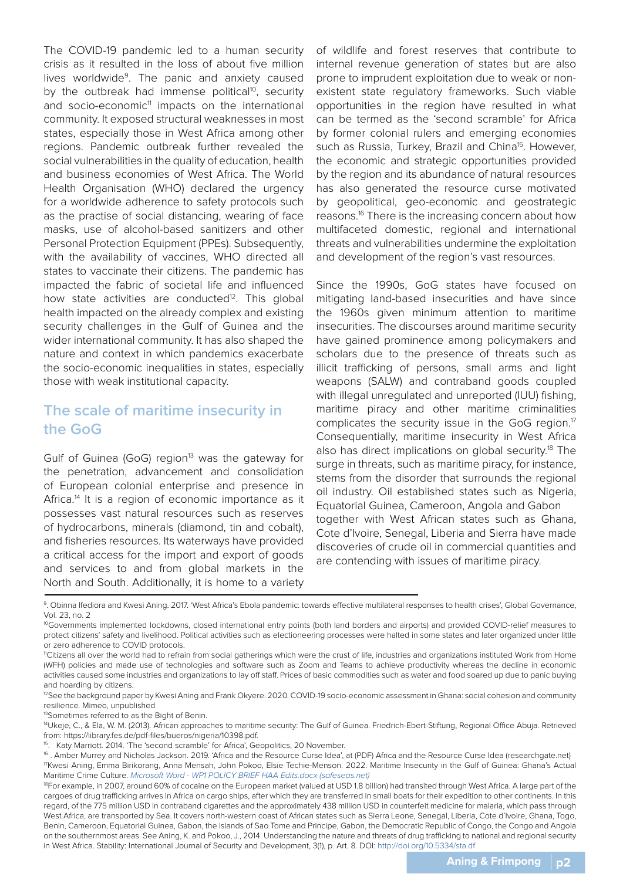The COVID-19 pandemic led to a human security crisis as it resulted in the loss of about five million lives worldwide<sup>9</sup>. The panic and anxiety caused by the outbreak had immense political<sup>10</sup>, security and socio-economic<sup>11</sup> impacts on the international community. It exposed structural weaknesses in most states, especially those in West Africa among other regions. Pandemic outbreak further revealed the social vulnerabilities in the quality of education, health and business economies of West Africa. The World Health Organisation (WHO) declared the urgency for a worldwide adherence to safety protocols such as the practise of social distancing, wearing of face masks, use of alcohol-based sanitizers and other Personal Protection Equipment (PPEs). Subsequently, with the availability of vaccines, WHO directed all states to vaccinate their citizens. The pandemic has impacted the fabric of societal life and influenced how state activities are conducted<sup>12</sup>. This global health impacted on the already complex and existing security challenges in the Gulf of Guinea and the wider international community. It has also shaped the nature and context in which pandemics exacerbate the socio-economic inequalities in states, especially those with weak institutional capacity.

### **The scale of maritime insecurity in the GoG**

Gulf of Guinea (GoG) region<sup>13</sup> was the gateway for the penetration, advancement and consolidation of European colonial enterprise and presence in Africa.<sup>14</sup> It is a region of economic importance as it possesses vast natural resources such as reserves of hydrocarbons, minerals (diamond, tin and cobalt), and fisheries resources. Its waterways have provided a critical access for the import and export of goods and services to and from global markets in the North and South. Additionally, it is home to a variety

of wildlife and forest reserves that contribute to internal revenue generation of states but are also prone to imprudent exploitation due to weak or nonexistent state regulatory frameworks. Such viable opportunities in the region have resulted in what can be termed as the 'second scramble' for Africa by former colonial rulers and emerging economies such as Russia, Turkey, Brazil and China<sup>15</sup>. However, the economic and strategic opportunities provided by the region and its abundance of natural resources has also generated the resource curse motivated by geopolitical, geo-economic and geostrategic reasons.16 There is the increasing concern about how multifaceted domestic, regional and international threats and vulnerabilities undermine the exploitation and development of the region's vast resources.

Since the 1990s, GoG states have focused on mitigating land-based insecurities and have since the 1960s given minimum attention to maritime insecurities. The discourses around maritime security have gained prominence among policymakers and scholars due to the presence of threats such as illicit trafficking of persons, small arms and light weapons (SALW) and contraband goods coupled with illegal unregulated and unreported (IUU) fishing, maritime piracy and other maritime criminalities complicates the security issue in the GoG region.<sup>17</sup> Consequentially, maritime insecurity in West Africa also has direct implications on global security.<sup>18</sup> The surge in threats, such as maritime piracy, for instance, stems from the disorder that surrounds the regional oil industry. Oil established states such as Nigeria, Equatorial Guinea, Cameroon, Angola and Gabon together with West African states such as Ghana, Cote d'Ivoire, Senegal, Liberia and Sierra have made discoveries of crude oil in commercial quantities and are contending with issues of maritime piracy.

9. Obinna Ifediora and Kwesi Aning. 2017. 'West Africa's Ebola pandemic: towards effective multilateral responses to health crises', Global Governance, Vol. 23, no. 2

13Sometimes referred to as the Bight of Benin.

- 15. Katy Marriott. 2014. 'The 'second scramble' for Africa', Geopolitics, 20 November.
- 16 . Amber Murrey and Nicholas Jackson. 2019. 'Africa and the Resource Curse Idea', at (PDF) Africa and the Resource Curse Idea (researchgate.net) 17Kwesi Aning, Emma Birikorang, Anna Mensah, John Pokoo, Elsie Techie-Menson. 2022. Maritime Insecurity in the Gulf of Guinea: Ghana's Actual Maritime Crime Culture. Microsoft Word - WP1 POLICY BRIEF HAA Edits.docx (safeseas.net)

<sup>&</sup>lt;sup>10</sup>Governments implemented lockdowns, closed international entry points (both land borders and airports) and provided COVID-relief measures to protect citizens' safety and livelihood. Political activities such as electioneering processes were halted in some states and later organized under little or zero adherence to COVID protocols.

<sup>11</sup>Citizens all over the world had to refrain from social gatherings which were the crust of life, industries and organizations instituted Work from Home (WFH) policies and made use of technologies and software such as Zoom and Teams to achieve productivity whereas the decline in economic activities caused some industries and organizations to lay off staff. Prices of basic commodities such as water and food soared up due to panic buying and hoarding by citizens.

<sup>&</sup>lt;sup>12</sup>See the background paper by Kwesi Aning and Frank Okyere. 2020. COVID-19 socio-economic assessment in Ghana: social cohesion and community resilience. Mimeo, unpublished

<sup>&</sup>lt;sup>14</sup>Ukeje, C., & Ela, W. M. (2013). African approaches to maritime security: The Gulf of Guinea. Friedrich-Ebert-Stiftung, Regional Office Abuja. Retrieved from: https://library.fes.de/pdf-files/bueros/nigeria/10398.pdf.

<sup>&</sup>lt;sup>18</sup>For example, in 2007, around 60% of cocaine on the European market (valued at USD 1.8 billion) had transited through West Africa. A large part of the cargoes of drug trafficking arrives in Africa on cargo ships, after which they are transferred in small boats for their expedition to other continents. In this regard, of the 775 million USD in contraband cigarettes and the approximately 438 million USD in counterfeit medicine for malaria, which pass through West Africa, are transported by Sea. It covers north-western coast of African states such as Sierra Leone, Senegal, Liberia, Cote d'Ivoire, Ghana, Togo, Benin, Cameroon, Equatorial Guinea, Gabon, the islands of Sao Tome and Principe, Gabon, the Democratic Republic of Congo, the Congo and Angola on the southernmost areas. See Aning, K. and Pokoo, J., 2014. Understanding the nature and threats of drug trafficking to national and regional security in West Africa. Stability: International Journal of Security and Development, 3(1), p. Art. 8. DOI: http://doi.org/10.5334/sta.df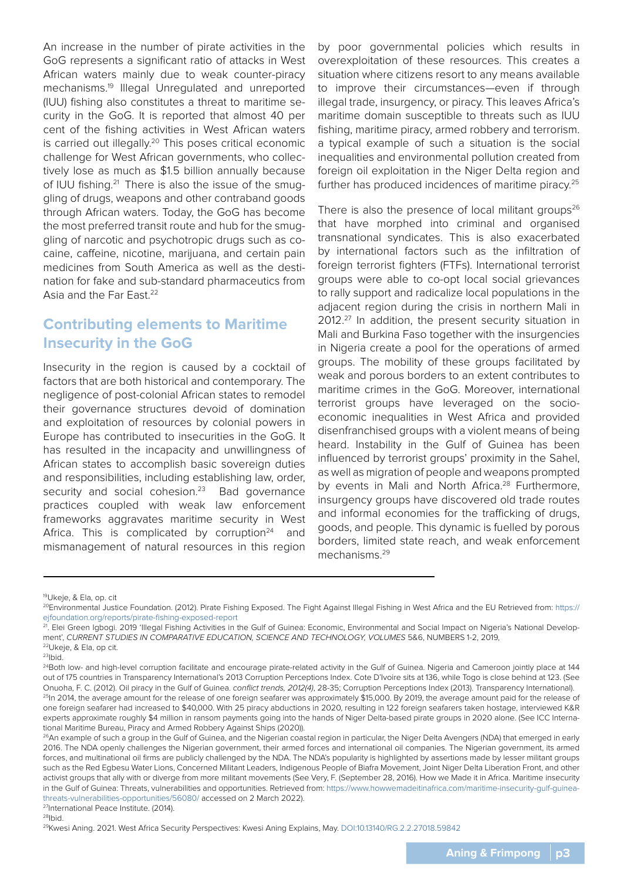An increase in the number of pirate activities in the GoG represents a significant ratio of attacks in West African waters mainly due to weak counter-piracy mechanisms.19 Illegal Unregulated and unreported (IUU) fishing also constitutes a threat to maritime security in the GoG. It is reported that almost 40 per cent of the fishing activities in West African waters is carried out illegally.<sup>20</sup> This poses critical economic challenge for West African governments, who collectively lose as much as \$1.5 billion annually because of IUU fishing.<sup>21</sup> There is also the issue of the smuggling of drugs, weapons and other contraband goods through African waters. Today, the GoG has become the most preferred transit route and hub for the smuggling of narcotic and psychotropic drugs such as cocaine, caffeine, nicotine, marijuana, and certain pain medicines from South America as well as the destination for fake and sub-standard pharmaceutics from Asia and the Far Fast.<sup>22</sup>

# **Contributing elements to Maritime Insecurity in the GoG**

Insecurity in the region is caused by a cocktail of factors that are both historical and contemporary. The negligence of post-colonial African states to remodel their governance structures devoid of domination and exploitation of resources by colonial powers in Europe has contributed to insecurities in the GoG. It has resulted in the incapacity and unwillingness of African states to accomplish basic sovereign duties and responsibilities, including establishing law, order, security and social cohesion.<sup>23</sup> Bad governance practices coupled with weak law enforcement frameworks aggravates maritime security in West Africa. This is complicated by corruption $24$  and mismanagement of natural resources in this region

by poor governmental policies which results in overexploitation of these resources. This creates a situation where citizens resort to any means available to improve their circumstances—even if through illegal trade, insurgency, or piracy. This leaves Africa's maritime domain susceptible to threats such as IUU fishing, maritime piracy, armed robbery and terrorism. a typical example of such a situation is the social inequalities and environmental pollution created from foreign oil exploitation in the Niger Delta region and further has produced incidences of maritime piracy.<sup>25</sup>

There is also the presence of local militant groups<sup>26</sup> that have morphed into criminal and organised transnational syndicates. This is also exacerbated by international factors such as the infiltration of foreign terrorist fighters (FTFs). International terrorist groups were able to co-opt local social grievances to rally support and radicalize local populations in the adjacent region during the crisis in northern Mali in 2012.<sup>27</sup> In addition, the present security situation in Mali and Burkina Faso together with the insurgencies in Nigeria create a pool for the operations of armed groups. The mobility of these groups facilitated by weak and porous borders to an extent contributes to maritime crimes in the GoG. Moreover, international terrorist groups have leveraged on the socioeconomic inequalities in West Africa and provided disenfranchised groups with a violent means of being heard. Instability in the Gulf of Guinea has been influenced by terrorist groups' proximity in the Sahel, as well as migration of people and weapons prompted by events in Mali and North Africa.<sup>28</sup> Furthermore, insurgency groups have discovered old trade routes and informal economies for the trafficking of drugs, goods, and people. This dynamic is fuelled by porous borders, limited state reach, and weak enforcement mechanisms.29

27International Peace Institute. (2014). 28Ibid.

<sup>19</sup>Ukeje, & Ela, op. cit

<sup>&</sup>lt;sup>20</sup>Environmental Justice Foundation. (2012). Pirate Fishing Exposed. The Fight Against Illegal Fishing in West Africa and the EU Retrieved from: https:// ejfoundation.org/reports/pirate-fishing-exposed-report

<sup>&</sup>lt;sup>21</sup>. Elei Green Igbogi. 2019 'Illegal Fishing Activities in the Gulf of Guinea: Economic, Environmental and Social Impact on Nigeria's National Development', CURRENT STUDIES IN COMPARATIVE EDUCATION, SCIENCE AND TECHNOLOGY, VOLUMES 5&6, NUMBERS 1-2, 2019, 22Ukeje, & Ela, op cit.

 $23$ Ibid.

<sup>&</sup>lt;sup>24</sup>Both low- and high-level corruption facilitate and encourage pirate-related activity in the Gulf of Guinea. Nigeria and Cameroon jointly place at 144 out of 175 countries in Transparency International's 2013 Corruption Perceptions Index. Cote D'Ivoire sits at 136, while Togo is close behind at 123. (See Onuoha, F. C. (2012). Oil piracy in the Gulf of Guinea. conflict trends, 2012(4), 28-35; Corruption Perceptions Index (2013). Transparency International). <sup>25</sup>In 2014, the average amount for the release of one foreign seafarer was approximately \$15,000. By 2019, the average amount paid for the release of one foreign seafarer had increased to \$40,000. With 25 piracy abductions in 2020, resulting in 122 foreign seafarers taken hostage, interviewed K&R experts approximate roughly \$4 million in ransom payments going into the hands of Niger Delta-based pirate groups in 2020 alone. (See ICC International Maritime Bureau, Piracy and Armed Robbery Against Ships (2020)).

<sup>&</sup>lt;sup>26</sup>An example of such a group in the Gulf of Guinea, and the Nigerian coastal region in particular, the Niger Delta Avengers (NDA) that emerged in early 2016. The NDA openly challenges the Nigerian government, their armed forces and international oil companies. The Nigerian government, its armed forces, and multinational oil firms are publicly challenged by the NDA. The NDA's popularity is highlighted by assertions made by lesser militant groups such as the Red Egbesu Water Lions, Concerned Militant Leaders, Indigenous People of Biafra Movement, Joint Niger Delta Liberation Front, and other activist groups that ally with or diverge from more militant movements (See Very, F. (September 28, 2016). How we Made it in Africa. Maritime insecurity in the Gulf of Guinea: Threats, vulnerabilities and opportunities. Retrieved from: https://www.howwemadeitinafrica.com/maritime-insecurity-gulf-guineathreats-vulnerabilities-opportunities/56080/ accessed on 2 March 2022).

<sup>29</sup>Kwesi Aning. 2021. West Africa Security Perspectives: Kwesi Aning Explains, May. DOI:10.13140/RG.2.2.27018.59842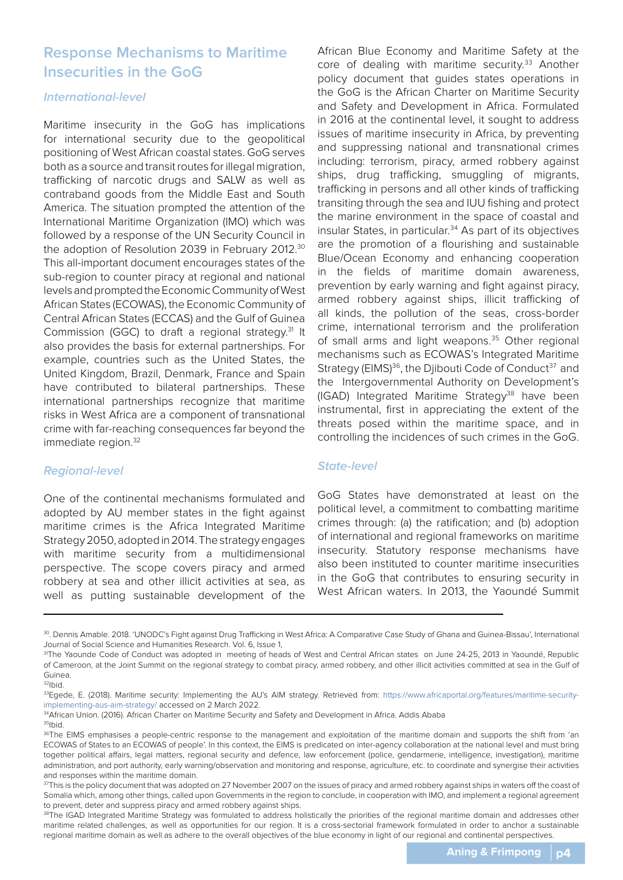### **Response Mechanisms to Maritime Insecurities in the GoG**

#### **International-level**

Maritime insecurity in the GoG has implications for international security due to the geopolitical positioning of West African coastal states. GoG serves both as a source and transit routes for illegal migration, trafficking of narcotic drugs and SALW as well as contraband goods from the Middle East and South America. The situation prompted the attention of the International Maritime Organization (IMO) which was followed by a response of the UN Security Council in the adoption of Resolution 2039 in February 2012.30 This all-important document encourages states of the sub-region to counter piracy at regional and national levels and prompted the Economic Community of West African States (ECOWAS), the Economic Community of Central African States (ECCAS) and the Gulf of Guinea Commission (GGC) to draft a regional strategy.31 It also provides the basis for external partnerships. For example, countries such as the United States, the United Kingdom, Brazil, Denmark, France and Spain have contributed to bilateral partnerships. These international partnerships recognize that maritime risks in West Africa are a component of transnational crime with far-reaching consequences far beyond the immediate region.<sup>32</sup>

### **Regional-level**

One of the continental mechanisms formulated and adopted by AU member states in the fight against maritime crimes is the Africa Integrated Maritime Strategy 2050, adopted in 2014. The strategy engages with maritime security from a multidimensional perspective. The scope covers piracy and armed robbery at sea and other illicit activities at sea, as well as putting sustainable development of the

African Blue Economy and Maritime Safety at the core of dealing with maritime security.<sup>33</sup> Another policy document that guides states operations in the GoG is the African Charter on Maritime Security and Safety and Development in Africa. Formulated in 2016 at the continental level, it sought to address issues of maritime insecurity in Africa, by preventing and suppressing national and transnational crimes including: terrorism, piracy, armed robbery against ships, drug trafficking, smuggling of migrants, trafficking in persons and all other kinds of trafficking transiting through the sea and IUU fishing and protect the marine environment in the space of coastal and insular States, in particular.<sup>34</sup> As part of its objectives are the promotion of a flourishing and sustainable Blue/Ocean Economy and enhancing cooperation in the fields of maritime domain awareness, prevention by early warning and fight against piracy, armed robbery against ships, illicit trafficking of all kinds, the pollution of the seas, cross-border crime, international terrorism and the proliferation of small arms and light weapons.<sup>35</sup> Other regional mechanisms such as ECOWAS's Integrated Maritime Strategy (EIMS)<sup>36</sup>, the Djibouti Code of Conduct<sup>37</sup> and the Intergovernmental Authority on Development's (IGAD) Integrated Maritime Strategy<sup>38</sup> have been instrumental, first in appreciating the extent of the threats posed within the maritime space, and in controlling the incidences of such crimes in the GoG.

#### **State-level**

GoG States have demonstrated at least on the political level, a commitment to combatting maritime crimes through: (a) the ratification; and (b) adoption of international and regional frameworks on maritime insecurity. Statutory response mechanisms have also been instituted to counter maritime insecurities in the GoG that contributes to ensuring security in West African waters. In 2013, the Yaoundé Summit

<sup>30.</sup> Dennis Amable. 2018. 'UNODC's Fight against Drug Trafficking in West Africa: A Comparative Case Study of Ghana and Guinea-Bissau', International Journal of Social Science and Humanities Research. Vol. 6, Issue 1,

<sup>&</sup>lt;sup>31</sup>The Yaounde Code of Conduct was adopted in meeting of heads of West and Central African states on June 24-25, 2013 in Yaoundé, Republic of Cameroon, at the Joint Summit on the regional strategy to combat piracy, armed robbery, and other illicit activities committed at sea in the Gulf of Guinea.

 $32$ Ibid.

<sup>33</sup>Egede, E. (2018). Maritime security: Implementing the AU's AIM strategy. Retrieved from: https://www.africaportal.org/features/maritime-securityimplementing-aus-aim-strategy/ accessed on 2 March 2022.

<sup>34</sup>African Union. (2016). African Charter on Maritime Security and Safety and Development in Africa. Addis Ababa 35Ibid.

<sup>36</sup>The EIMS emphasises a people-centric response to the management and exploitation of the maritime domain and supports the shift from 'an ECOWAS of States to an ECOWAS of people'. In this context, the EIMS is predicated on inter-agency collaboration at the national level and must bring together political affairs, legal matters, regional security and defence, law enforcement (police, gendarmerie, intelligence, investigation), maritime administration, and port authority, early warning/observation and monitoring and response, agriculture, etc. to coordinate and synergise their activities and responses within the maritime domain.

<sup>37</sup>This is the policy document that was adopted on 27 November 2007 on the issues of piracy and armed robbery against ships in waters off the coast of Somalia which, among other things, called upon Governments in the region to conclude, in cooperation with IMO, and implement a regional agreement to prevent, deter and suppress piracy and armed robbery against ships.

<sup>38</sup>The IGAD Integrated Maritime Strategy was formulated to address holistically the priorities of the regional maritime domain and addresses other maritime related challenges, as well as opportunities for our region. It is a cross-sectorial framework formulated in order to anchor a sustainable regional maritime domain as well as adhere to the overall objectives of the blue economy in light of our regional and continental perspectives.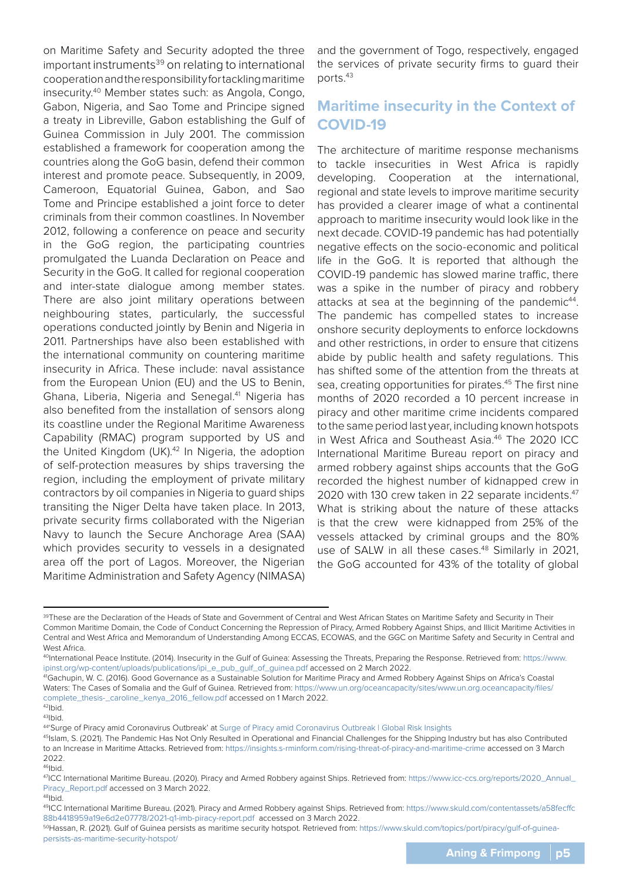on Maritime Safety and Security adopted the three important instruments<sup>39</sup> on relating to international cooperation and the responsibility for tackling maritime insecurity.40 Member states such: as Angola, Congo, Gabon, Nigeria, and Sao Tome and Principe signed a treaty in Libreville, Gabon establishing the Gulf of Guinea Commission in July 2001. The commission established a framework for cooperation among the countries along the GoG basin, defend their common interest and promote peace. Subsequently, in 2009, Cameroon, Equatorial Guinea, Gabon, and Sao Tome and Principe established a joint force to deter criminals from their common coastlines. In November 2012, following a conference on peace and security in the GoG region, the participating countries promulgated the Luanda Declaration on Peace and Security in the GoG. It called for regional cooperation and inter-state dialogue among member states. There are also joint military operations between neighbouring states, particularly, the successful operations conducted jointly by Benin and Nigeria in 2011. Partnerships have also been established with the international community on countering maritime insecurity in Africa. These include: naval assistance from the European Union (EU) and the US to Benin, Ghana, Liberia, Nigeria and Senegal.<sup>41</sup> Nigeria has also benefited from the installation of sensors along its coastline under the Regional Maritime Awareness Capability (RMAC) program supported by US and the United Kingdom (UK).<sup>42</sup> In Nigeria, the adoption of self-protection measures by ships traversing the region, including the employment of private military contractors by oil companies in Nigeria to guard ships transiting the Niger Delta have taken place. In 2013, private security firms collaborated with the Nigerian Navy to launch the Secure Anchorage Area (SAA) which provides security to vessels in a designated area off the port of Lagos. Moreover, the Nigerian Maritime Administration and Safety Agency (NIMASA)

and the government of Togo, respectively, engaged the services of private security firms to guard their ports.43

# **Maritime insecurity in the Context of COVID-19**

The architecture of maritime response mechanisms to tackle insecurities in West Africa is rapidly developing. Cooperation at the international, regional and state levels to improve maritime security has provided a clearer image of what a continental approach to maritime insecurity would look like in the next decade. COVID-19 pandemic has had potentially negative effects on the socio-economic and political life in the GoG. It is reported that although the COVID-19 pandemic has slowed marine traffic, there was a spike in the number of piracy and robbery attacks at sea at the beginning of the pandemic<sup>44</sup>. The pandemic has compelled states to increase onshore security deployments to enforce lockdowns and other restrictions, in order to ensure that citizens abide by public health and safety regulations. This has shifted some of the attention from the threats at sea, creating opportunities for pirates.<sup>45</sup> The first nine months of 2020 recorded a 10 percent increase in piracy and other maritime crime incidents compared to the same period last year, including known hotspots in West Africa and Southeast Asia.<sup>46</sup> The 2020 ICC International Maritime Bureau report on piracy and armed robbery against ships accounts that the GoG recorded the highest number of kidnapped crew in 2020 with 130 crew taken in 22 separate incidents.47 What is striking about the nature of these attacks is that the crew were kidnapped from 25% of the vessels attacked by criminal groups and the 80% use of SALW in all these cases.<sup>48</sup> Similarly in 2021, the GoG accounted for 43% of the totality of global

<sup>39</sup>These are the Declaration of the Heads of State and Government of Central and West African States on Maritime Safety and Security in Their Common Maritime Domain, the Code of Conduct Concerning the Repression of Piracy, Armed Robbery Against Ships, and Illicit Maritime Activities in Central and West Africa and Memorandum of Understanding Among ECCAS, ECOWAS, and the GGC on Maritime Safety and Security in Central and West Africa.

<sup>40</sup>International Peace Institute. (2014). Insecurity in the Gulf of Guinea: Assessing the Threats, Preparing the Response. Retrieved from: https://www. ipinst.org/wp-content/uploads/publications/ipi\_e\_pub\_gulf\_of\_guinea.pdf accessed on 2 March 2022.

<sup>41</sup>Gachupin, W. C. (2016). Good Governance as a Sustainable Solution for Maritime Piracy and Armed Robbery Against Ships on Africa's Coastal Waters: The Cases of Somalia and the Gulf of Guinea. Retrieved from: https://www.un.org/oceancapacity/sites/www.un.org.oceancapacity/files/ complete\_thesis-\_caroline\_kenya\_2016\_fellow.pdf accessed on 1 March 2022.<br><sup>42</sup>Ibid.

<sup>43</sup>Ibid.

<sup>44&#</sup>x27;Surge of Piracy amid Coronavirus Outbreak' at Surge of Piracy amid Coronavirus Outbreak | Global Risk Insights

<sup>45</sup>Islam, S. (2021). The Pandemic Has Not Only Resulted in Operational and Financial Challenges for the Shipping Industry but has also Contributed to an Increase in Maritime Attacks. Retrieved from: https://insights.s-rminform.com/rising-threat-of-piracy-and-maritime-crime accessed on 3 March 2022.

<sup>46&</sup>lt;sub>Ibid.</sub>

<sup>47</sup>ICC International Maritime Bureau. (2020). Piracy and Armed Robbery against Ships. Retrieved from: https://www.icc-ccs.org/reports/2020\_Annual\_ Piracy\_Report.pdf accessed on 3 March 2022.<br><sup>48</sup>Ibid.

<sup>49</sup>ICC International Maritime Bureau. (2021). Piracy and Armed Robbery against Ships. Retrieved from: https://www.skuld.com/contentassets/a58fecffc 88b4418959a19e6d2e07778/2021-q1-imb-piracy-report.pdf accessed on 3 March 2022.

<sup>50</sup>Hassan, R. (2021). Gulf of Guinea persists as maritime security hotspot. Retrieved from: https://www.skuld.com/topics/port/piracy/gulf-of-guineapersists-as-maritime-security-hotspot/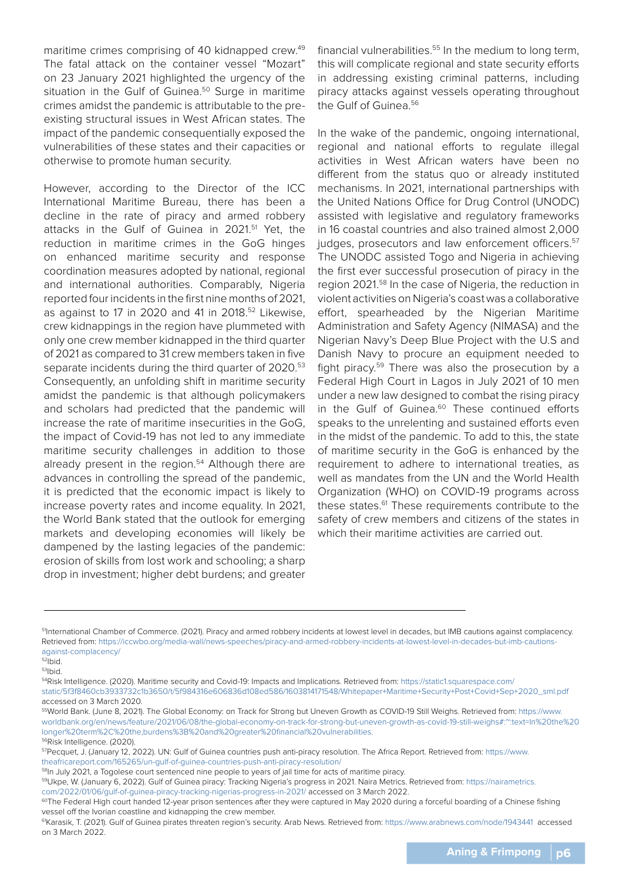maritime crimes comprising of 40 kidnapped crew.<sup>49</sup> The fatal attack on the container vessel "Mozart" on 23 January 2021 highlighted the urgency of the situation in the Gulf of Guinea.<sup>50</sup> Surge in maritime crimes amidst the pandemic is attributable to the preexisting structural issues in West African states. The impact of the pandemic consequentially exposed the vulnerabilities of these states and their capacities or otherwise to promote human security.

However, according to the Director of the ICC International Maritime Bureau, there has been a decline in the rate of piracy and armed robbery attacks in the Gulf of Guinea in 2021.<sup>51</sup> Yet, the reduction in maritime crimes in the GoG hinges on enhanced maritime security and response coordination measures adopted by national, regional and international authorities. Comparably, Nigeria reported four incidents in the first nine months of 2021, as against to 17 in 2020 and 41 in 2018.52 Likewise, crew kidnappings in the region have plummeted with only one crew member kidnapped in the third quarter of 2021 as compared to 31 crew members taken in five separate incidents during the third quarter of 2020.<sup>53</sup> Consequently, an unfolding shift in maritime security amidst the pandemic is that although policymakers and scholars had predicted that the pandemic will increase the rate of maritime insecurities in the GoG, the impact of Covid-19 has not led to any immediate maritime security challenges in addition to those already present in the region.<sup>54</sup> Although there are advances in controlling the spread of the pandemic, it is predicted that the economic impact is likely to increase poverty rates and income equality. In 2021, the World Bank stated that the outlook for emerging markets and developing economies will likely be dampened by the lasting legacies of the pandemic: erosion of skills from lost work and schooling; a sharp drop in investment; higher debt burdens; and greater

financial vulnerabilities. $55$  In the medium to long term, this will complicate regional and state security efforts in addressing existing criminal patterns, including piracy attacks against vessels operating throughout the Gulf of Guinea.<sup>56</sup>

In the wake of the pandemic, ongoing international, regional and national efforts to regulate illegal activities in West African waters have been no different from the status quo or already instituted mechanisms. In 2021, international partnerships with the United Nations Office for Drug Control (UNODC) assisted with legislative and regulatory frameworks in 16 coastal countries and also trained almost 2,000 judges, prosecutors and law enforcement officers.<sup>57</sup> The UNODC assisted Togo and Nigeria in achieving the first ever successful prosecution of piracy in the region 2021.58 In the case of Nigeria, the reduction in violent activities on Nigeria's coast was a collaborative effort, spearheaded by the Nigerian Maritime Administration and Safety Agency (NIMASA) and the Nigerian Navy's Deep Blue Project with the U.S and Danish Navy to procure an equipment needed to fight piracy.59 There was also the prosecution by a Federal High Court in Lagos in July 2021 of 10 men under a new law designed to combat the rising piracy in the Gulf of Guinea.<sup>60</sup> These continued efforts speaks to the unrelenting and sustained efforts even in the midst of the pandemic. To add to this, the state of maritime security in the GoG is enhanced by the requirement to adhere to international treaties, as well as mandates from the UN and the World Health Organization (WHO) on COVID-19 programs across these states.<sup>61</sup> These requirements contribute to the safety of crew members and citizens of the states in which their maritime activities are carried out.

<sup>&</sup>lt;sup>51</sup>International Chamber of Commerce. (2021). Piracy and armed robbery incidents at lowest level in decades, but IMB cautions against complacency. Retrieved from: https://iccwbo.org/media-wall/news-speeches/piracy-and-armed-robbery-incidents-at-lowest-level-in-decades-but-imb-cautionsagainst-complacency/

 $52$ Ibid.

<sup>53</sup>Ibid.

<sup>54</sup>Risk Intelligence. (2020). Maritime security and Covid-19: Impacts and Implications. Retrieved from: https://static1.squarespace.com/ static/5f3f8460cb3933732c1b3650/t/5f984316e606836d108ed586/1603814171548/Whitepaper+Maritime+Security+Post+Covid+Sep+2020\_sml.pdf accessed on 3 March 2020.

<sup>55</sup>World Bank. (June 8, 2021). The Global Economy: on Track for Strong but Uneven Growth as COVID-19 Still Weighs. Retrieved from: https://www. worldbank.org/en/news/feature/2021/06/08/the-global-economy-on-track-for-strong-but-uneven-growth-as-covid-19-still-weighs#:~:text=In%20the%20 longer%20term%2C%20the,burdens%3B%20and%20greater%20financial%20vulnerabilities.

<sup>56</sup>Risk Intelligence. (2020).

<sup>57</sup>Pecquet, J. (January 12, 2022). UN: Gulf of Guinea countries push anti-piracy resolution. The Africa Report. Retrieved from: https://www. theafricareport.com/165265/un-gulf-of-guinea-countries-push-anti-piracy-resolution/

<sup>58</sup>In July 2021, a Togolese court sentenced nine people to years of jail time for acts of maritime piracy.

<sup>59</sup>Ukpe, W. (January 6, 2022). Gulf of Guinea piracy: Tracking Nigeria's progress in 2021. Naira Metrics. Retrieved from: https://nairametrics.

com/2022/01/06/gulf-of-guinea-piracy-tracking-nigerias-progress-in-2021/ accessed on 3 March 2022.<br><sup>60</sup>The Federal High court handed 12-year prison sentences after they were captured in May 2020 during a forceful boarding vessel off the Ivorian coastline and kidnapping the crew member.

<sup>61</sup>Karasik, T. (2021). Gulf of Guinea pirates threaten region's security. Arab News. Retrieved from: https://www.arabnews.com/node/1943441 accessed on 3 March 2022.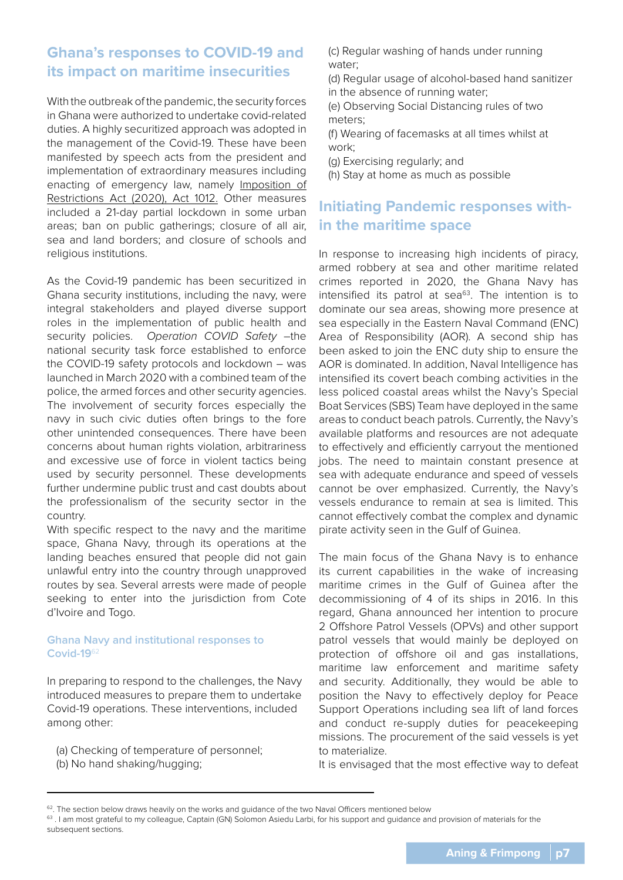# **Ghana's responses to COVID-19 and its impact on maritime insecurities**

With the outbreak of the pandemic, the security forces in Ghana were authorized to undertake covid-related duties. A highly securitized approach was adopted in the management of the Covid-19. These have been manifested by speech acts from the president and implementation of extraordinary measures including enacting of emergency law, namely Imposition of Restrictions Act (2020), Act 1012. Other measures included a 21-day partial lockdown in some urban areas; ban on public gatherings; closure of all air, sea and land borders; and closure of schools and religious institutions.

As the Covid-19 pandemic has been securitized in Ghana security institutions, including the navy, were integral stakeholders and played diverse support roles in the implementation of public health and security policies. Operation COVID Safety -the national security task force established to enforce the COVID-19 safety protocols and lockdown – was launched in March 2020 with a combined team of the police, the armed forces and other security agencies. The involvement of security forces especially the navy in such civic duties often brings to the fore other unintended consequences. There have been concerns about human rights violation, arbitrariness and excessive use of force in violent tactics being used by security personnel. These developments further undermine public trust and cast doubts about the professionalism of the security sector in the country.

With specific respect to the navy and the maritime space, Ghana Navy, through its operations at the landing beaches ensured that people did not gain unlawful entry into the country through unapproved routes by sea. Several arrests were made of people seeking to enter into the jurisdiction from Cote d'Ivoire and Togo.

### **Ghana Navy and institutional responses to Covid-19**<sup>62</sup>

In preparing to respond to the challenges, the Navy introduced measures to prepare them to undertake Covid-19 operations. These interventions, included among other:

- (a) Checking of temperature of personnel;
- (b) No hand shaking/hugging;
- (c) Regular washing of hands under running water;
- (d) Regular usage of alcohol-based hand sanitizer in the absence of running water;
- (e) Observing Social Distancing rules of two meters;
- (f) Wearing of facemasks at all times whilst at work;
- (g) Exercising regularly; and
- (h) Stay at home as much as possible

# **Initiating Pandemic responses within the maritime space**

In response to increasing high incidents of piracy, armed robbery at sea and other maritime related crimes reported in 2020, the Ghana Navy has intensified its patrol at sea $63$ . The intention is to dominate our sea areas, showing more presence at sea especially in the Eastern Naval Command (ENC) Area of Responsibility (AOR). A second ship has been asked to join the ENC duty ship to ensure the AOR is dominated. In addition, Naval Intelligence has intensified its covert beach combing activities in the less policed coastal areas whilst the Navy's Special Boat Services (SBS) Team have deployed in the same areas to conduct beach patrols. Currently, the Navy's available platforms and resources are not adequate to effectively and efficiently carryout the mentioned jobs. The need to maintain constant presence at sea with adequate endurance and speed of vessels cannot be over emphasized. Currently, the Navy's vessels endurance to remain at sea is limited. This cannot effectively combat the complex and dynamic pirate activity seen in the Gulf of Guinea.

The main focus of the Ghana Navy is to enhance its current capabilities in the wake of increasing maritime crimes in the Gulf of Guinea after the decommissioning of 4 of its ships in 2016. In this regard, Ghana announced her intention to procure 2 Offshore Patrol Vessels (OPVs) and other support patrol vessels that would mainly be deployed on protection of offshore oil and gas installations, maritime law enforcement and maritime safety and security. Additionally, they would be able to position the Navy to effectively deploy for Peace Support Operations including sea lift of land forces and conduct re-supply duties for peacekeeping missions. The procurement of the said vessels is yet to materialize.

It is envisaged that the most effective way to defeat

<sup>&</sup>lt;sup>62</sup>. The section below draws heavily on the works and guidance of the two Naval Officers mentioned below

<sup>63.</sup> I am most grateful to my colleague, Captain (GN) Solomon Asiedu Larbi, for his support and guidance and provision of materials for the subsequent sections.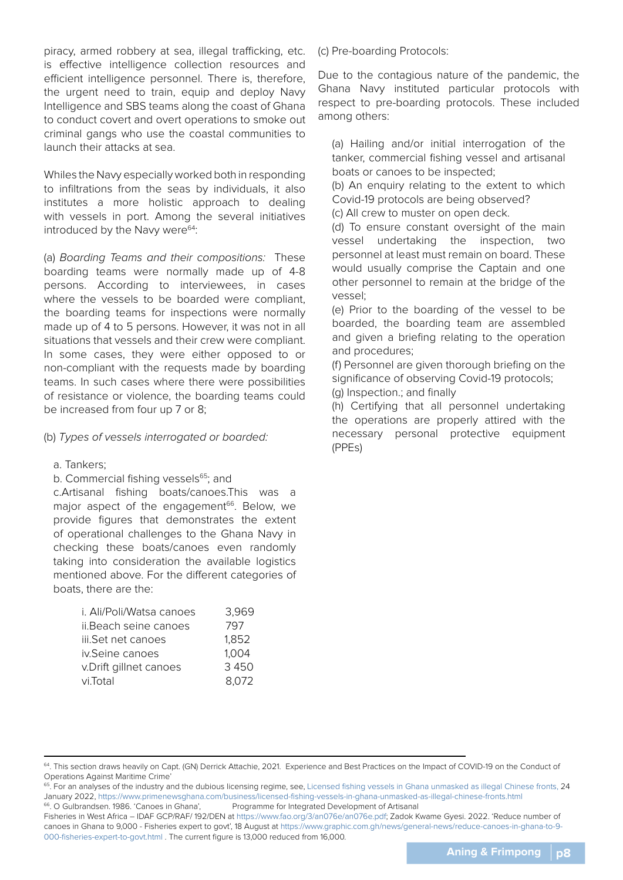piracy, armed robbery at sea, illegal trafficking, etc. is effective intelligence collection resources and efficient intelligence personnel. There is, therefore, the urgent need to train, equip and deploy Navy Intelligence and SBS teams along the coast of Ghana to conduct covert and overt operations to smoke out criminal gangs who use the coastal communities to launch their attacks at sea.

Whiles the Navy especially worked both in responding to infiltrations from the seas by individuals, it also institutes a more holistic approach to dealing with vessels in port. Among the several initiatives introduced by the Navy were $64$ :

(a) Boarding Teams and their compositions: These boarding teams were normally made up of 4-8 persons. According to interviewees, in cases where the vessels to be boarded were compliant, the boarding teams for inspections were normally made up of 4 to 5 persons. However, it was not in all situations that vessels and their crew were compliant. In some cases, they were either opposed to or non-compliant with the requests made by boarding teams. In such cases where there were possibilities of resistance or violence, the boarding teams could be increased from four up 7 or 8;

### (b) Types of vessels interrogated or boarded:

#### a. Tankers;

#### b. Commercial fishing vessels<sup>65</sup>; and

c.Artisanal fishing boats/canoes.This was a major aspect of the engagement<sup>66</sup>. Below, we provide figures that demonstrates the extent of operational challenges to the Ghana Navy in checking these boats/canoes even randomly taking into consideration the available logistics mentioned above. For the different categories of boats, there are the:

| i. Ali/Poli/Watsa canoes | 3,969 |
|--------------------------|-------|
| ii.Beach seine canoes    | 797   |
| iii.Set net canoes       | 1,852 |
| iv.Seine canoes          | 1,004 |
| v.Drift gillnet canoes   | 3450  |
| vi.Total                 | 8.072 |

(c) Pre-boarding Protocols:

Due to the contagious nature of the pandemic, the Ghana Navy instituted particular protocols with respect to pre-boarding protocols. These included among others:

(a) Hailing and/or initial interrogation of the tanker, commercial fishing vessel and artisanal boats or canoes to be inspected;

(b) An enquiry relating to the extent to which Covid-19 protocols are being observed?

(c) All crew to muster on open deck.

(d) To ensure constant oversight of the main vessel undertaking the inspection, two personnel at least must remain on board. These would usually comprise the Captain and one other personnel to remain at the bridge of the vessel;

(e) Prior to the boarding of the vessel to be boarded, the boarding team are assembled and given a briefing relating to the operation and procedures;

(f) Personnel are given thorough briefing on the significance of observing Covid-19 protocols;

(g) Inspection.; and finally

(h) Certifying that all personnel undertaking the operations are properly attired with the necessary personal protective equipment (PPEs)

<sup>&</sup>lt;sup>64</sup>. This section draws heavily on Capt. (GN) Derrick Attachie, 2021. Experience and Best Practices on the Impact of COVID-19 on the Conduct of Operations Against Maritime Crime'

<sup>&</sup>lt;sup>65</sup>. For an analyses of the industry and the dubious licensing regime, see, Licensed fishing vessels in Ghana unmasked as illegal Chinese fronts, 24 January 2022, https://www.primenewsghana.com/business/licensed-fishing-vessels-in-ghana-unmasked-as-illegal-chinese-fronts.html 66. O Gulbrandsen. 1986. 'Canoes in Ghana', Programme for Integrated Development of Artisanal

Fisheries in West Africa – IDAF GCP/RAF/ 192/DEN at https://www.fao.org/3/an076e/an076e.pdf; Zadok Kwame Gyesi. 2022. 'Reduce number of canoes in Ghana to 9,000 - Fisheries expert to govt', 18 August at https://www.graphic.com.gh/news/general-news/reduce-canoes-in-ghana-to-9- 000-fisheries-expert-to-govt.html . The current figure is 13,000 reduced from 16,000.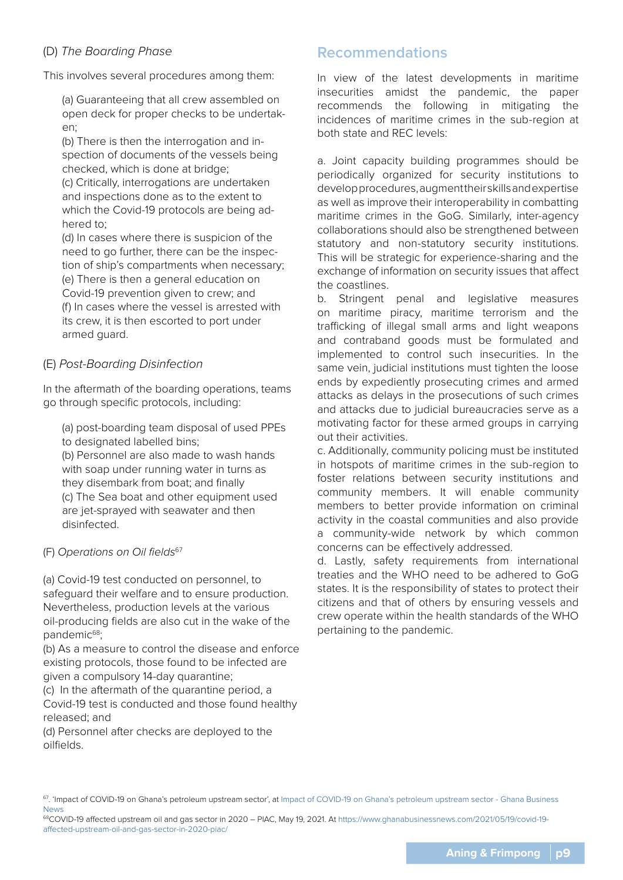### (D) The Boarding Phase

This involves several procedures among them:

(a) Guaranteeing that all crew assembled on open deck for proper checks to be undertaken;

(b) There is then the interrogation and inspection of documents of the vessels being checked, which is done at bridge;

(c) Critically, interrogations are undertaken and inspections done as to the extent to which the Covid-19 protocols are being adhered to;

(d) In cases where there is suspicion of the need to go further, there can be the inspection of ship's compartments when necessary; (e) There is then a general education on Covid-19 prevention given to crew; and (f) In cases where the vessel is arrested with its crew, it is then escorted to port under armed guard.

### (E) Post-Boarding Disinfection

In the aftermath of the boarding operations, teams go through specific protocols, including:

(a) post-boarding team disposal of used PPEs to designated labelled bins;

(b) Personnel are also made to wash hands with soap under running water in turns as they disembark from boat; and finally (c) The Sea boat and other equipment used are jet-sprayed with seawater and then disinfected.

### (F) Operations on Oil fields<sup>67</sup>

(a) Covid-19 test conducted on personnel, to safeguard their welfare and to ensure production. Nevertheless, production levels at the various oil-producing fields are also cut in the wake of the pandemic<sup>68</sup>;

(b) As a measure to control the disease and enforce existing protocols, those found to be infected are given a compulsory 14-day quarantine;

(c) In the aftermath of the quarantine period, a Covid-19 test is conducted and those found healthy released; and

(d) Personnel after checks are deployed to the oilfields.

### **Recommendations**

In view of the latest developments in maritime insecurities amidst the pandemic, the paper recommends the following in mitigating the incidences of maritime crimes in the sub-region at both state and REC levels:

a. Joint capacity building programmes should be periodically organized for security institutions to develop procedures, augment their skills and expertise as well as improve their interoperability in combatting maritime crimes in the GoG. Similarly, inter-agency collaborations should also be strengthened between statutory and non-statutory security institutions. This will be strategic for experience-sharing and the exchange of information on security issues that affect the coastlines.

b. Stringent penal and legislative measures on maritime piracy, maritime terrorism and the trafficking of illegal small arms and light weapons and contraband goods must be formulated and implemented to control such insecurities. In the same vein, judicial institutions must tighten the loose ends by expediently prosecuting crimes and armed attacks as delays in the prosecutions of such crimes and attacks due to judicial bureaucracies serve as a motivating factor for these armed groups in carrying out their activities.

c. Additionally, community policing must be instituted in hotspots of maritime crimes in the sub-region to foster relations between security institutions and community members. It will enable community members to better provide information on criminal activity in the coastal communities and also provide a community-wide network by which common concerns can be effectively addressed.

d. Lastly, safety requirements from international treaties and the WHO need to be adhered to GoG states. It is the responsibility of states to protect their citizens and that of others by ensuring vessels and crew operate within the health standards of the WHO pertaining to the pandemic.

68COVID-19 affected upstream oil and gas sector in 2020 – PIAC, May 19, 2021. At https://www.ghanabusinessnews.com/2021/05/19/covid-19 affected-upstream-oil-and-gas-sector-in-2020-piac/

<sup>&</sup>lt;sup>67</sup>. 'Impact of COVID-19 on Ghana's petroleum upstream sector', at Impact of COVID-19 on Ghana's petroleum upstream sector - Ghana Business News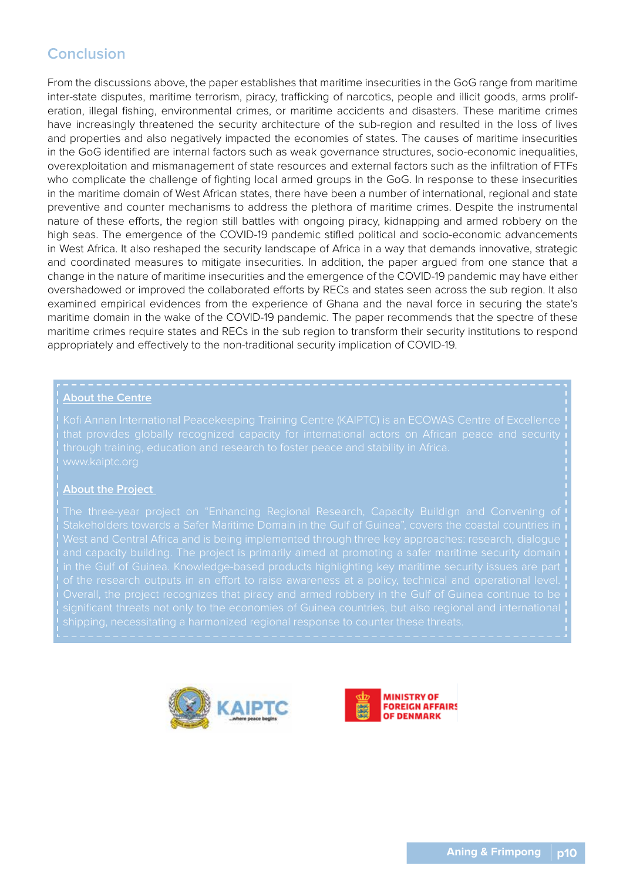# **Conclusion**

From the discussions above, the paper establishes that maritime insecurities in the GoG range from maritime inter-state disputes, maritime terrorism, piracy, trafficking of narcotics, people and illicit goods, arms proliferation, illegal fishing, environmental crimes, or maritime accidents and disasters. These maritime crimes have increasingly threatened the security architecture of the sub-region and resulted in the loss of lives and properties and also negatively impacted the economies of states. The causes of maritime insecurities in the GoG identified are internal factors such as weak governance structures, socio-economic inequalities, overexploitation and mismanagement of state resources and external factors such as the infiltration of FTFs who complicate the challenge of fighting local armed groups in the GoG. In response to these insecurities in the maritime domain of West African states, there have been a number of international, regional and state preventive and counter mechanisms to address the plethora of maritime crimes. Despite the instrumental nature of these efforts, the region still battles with ongoing piracy, kidnapping and armed robbery on the high seas. The emergence of the COVID-19 pandemic stifled political and socio-economic advancements in West Africa. It also reshaped the security landscape of Africa in a way that demands innovative, strategic and coordinated measures to mitigate insecurities. In addition, the paper argued from one stance that a change in the nature of maritime insecurities and the emergence of the COVID-19 pandemic may have either overshadowed or improved the collaborated efforts by RECs and states seen across the sub region. It also examined empirical evidences from the experience of Ghana and the naval force in securing the state's maritime domain in the wake of the COVID-19 pandemic. The paper recommends that the spectre of these maritime crimes require states and RECs in the sub region to transform their security institutions to respond appropriately and effectively to the non-traditional security implication of COVID-19.

#### **About the Centre**

#### **About the Project**

in the Gulf of Guinea. Knowledge-based products highlighting key maritime security issues are part